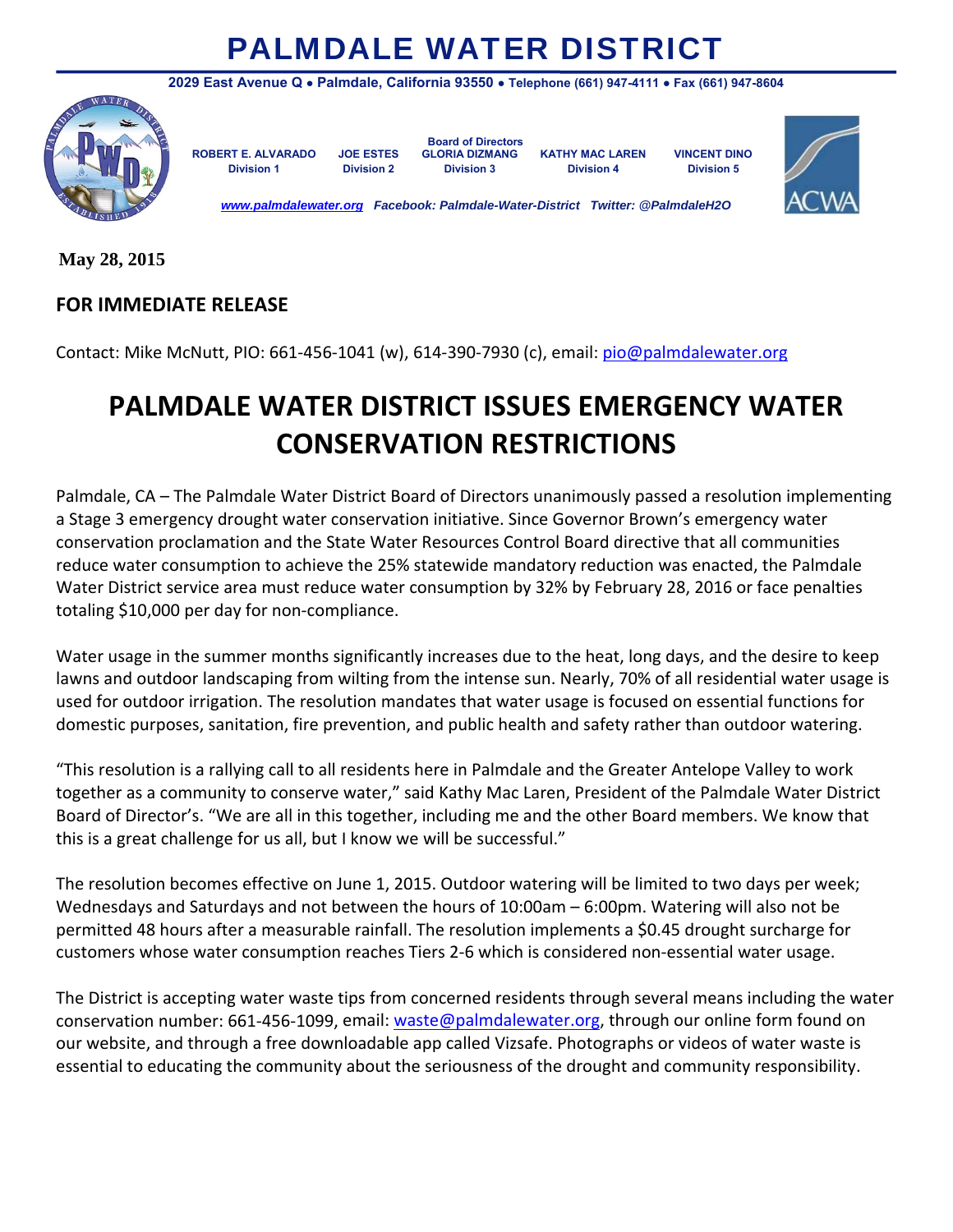## PALMDALE WATER DISTRICT



**2029 East Avenue Q ● Palmdale, California 93550 ● Telephone (661) 947-4111 ● Fax (661) 947-8604** 

 **Board of Directors ROBERT E. ALVARADO JOE ESTES GLORIA DIZMANG KATHY MAC LAREN VINCENT DINO Division 1 Division 2 Division 3 Division 4 Division 5** 



*www.palmdalewater.org Facebook: Palmdale-Water-District Twitter: @PalmdaleH2O* 

**May 28, 2015** 

## **FOR IMMEDIATE RELEASE**

Contact: Mike McNutt, PIO: 661‐456‐1041 (w), 614‐390‐7930 (c), email: pio@palmdalewater.org

## **PALMDALE WATER DISTRICT ISSUES EMERGENCY WATER CONSERVATION RESTRICTIONS**

Palmdale, CA – The Palmdale Water District Board of Directors unanimously passed a resolution implementing a Stage 3 emergency drought water conservation initiative. Since Governor Brown's emergency water conservation proclamation and the State Water Resources Control Board directive that all communities reduce water consumption to achieve the 25% statewide mandatory reduction was enacted, the Palmdale Water District service area must reduce water consumption by 32% by February 28, 2016 or face penalties totaling \$10,000 per day for non‐compliance.

Water usage in the summer months significantly increases due to the heat, long days, and the desire to keep lawns and outdoor landscaping from wilting from the intense sun. Nearly, 70% of all residential water usage is used for outdoor irrigation. The resolution mandates that water usage is focused on essential functions for domestic purposes, sanitation, fire prevention, and public health and safety rather than outdoor watering.

"This resolution is a rallying call to all residents here in Palmdale and the Greater Antelope Valley to work together as a community to conserve water," said Kathy Mac Laren, President of the Palmdale Water District Board of Director's. "We are all in this together, including me and the other Board members. We know that this is a great challenge for us all, but I know we will be successful."

The resolution becomes effective on June 1, 2015. Outdoor watering will be limited to two days per week; Wednesdays and Saturdays and not between the hours of 10:00am – 6:00pm. Watering will also not be permitted 48 hours after a measurable rainfall. The resolution implements a \$0.45 drought surcharge for customers whose water consumption reaches Tiers 2‐6 which is considered non‐essential water usage.

The District is accepting water waste tips from concerned residents through several means including the water conservation number: 661-456-1099, email: waste@palmdalewater.org, through our online form found on our website, and through a free downloadable app called Vizsafe. Photographs or videos of water waste is essential to educating the community about the seriousness of the drought and community responsibility.